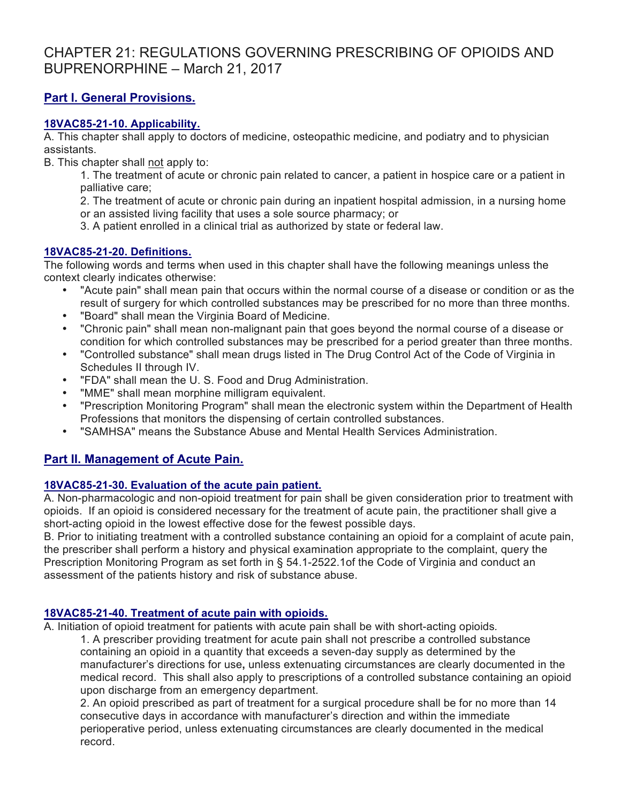# CHAPTER 21: REGULATIONS GOVERNING PRESCRIBING OF OPIOIDS AND BUPRENORPHINE – March 21, 2017

# **Part I. General Provisions.**

### **18VAC85-21-10. Applicability.**

A. This chapter shall apply to doctors of medicine, osteopathic medicine, and podiatry and to physician assistants.

B. This chapter shall not apply to:

1. The treatment of acute or chronic pain related to cancer, a patient in hospice care or a patient in palliative care;

2. The treatment of acute or chronic pain during an inpatient hospital admission, in a nursing home or an assisted living facility that uses a sole source pharmacy; or

3. A patient enrolled in a clinical trial as authorized by state or federal law.

### **18VAC85-21-20. Definitions.**

The following words and terms when used in this chapter shall have the following meanings unless the context clearly indicates otherwise:

- "Acute pain" shall mean pain that occurs within the normal course of a disease or condition or as the result of surgery for which controlled substances may be prescribed for no more than three months.
- "Board" shall mean the Virginia Board of Medicine.
- "Chronic pain" shall mean non-malignant pain that goes beyond the normal course of a disease or condition for which controlled substances may be prescribed for a period greater than three months.
- "Controlled substance" shall mean drugs listed in The Drug Control Act of the Code of Virginia in Schedules II through IV.
- "FDA" shall mean the U. S. Food and Drug Administration.
- "MME" shall mean morphine milligram equivalent.
- "Prescription Monitoring Program" shall mean the electronic system within the Department of Health Professions that monitors the dispensing of certain controlled substances.
- "SAMHSA" means the Substance Abuse and Mental Health Services Administration.

# **Part II. Management of Acute Pain.**

# **18VAC85-21-30. Evaluation of the acute pain patient.**

A. Non-pharmacologic and non-opioid treatment for pain shall be given consideration prior to treatment with opioids. If an opioid is considered necessary for the treatment of acute pain, the practitioner shall give a short-acting opioid in the lowest effective dose for the fewest possible days.

B. Prior to initiating treatment with a controlled substance containing an opioid for a complaint of acute pain, the prescriber shall perform a history and physical examination appropriate to the complaint, query the Prescription Monitoring Program as set forth in § 54.1-2522.1of the Code of Virginia and conduct an assessment of the patients history and risk of substance abuse.

# **18VAC85-21-40. Treatment of acute pain with opioids.**

A. Initiation of opioid treatment for patients with acute pain shall be with short-acting opioids*.*

1. A prescriber providing treatment for acute pain shall not prescribe a controlled substance containing an opioid in a quantity that exceeds a seven-day supply as determined by the manufacturer's directions for use**,** unless extenuating circumstances are clearly documented in the medical record. This shall also apply to prescriptions of a controlled substance containing an opioid upon discharge from an emergency department.

2. An opioid prescribed as part of treatment for a surgical procedure shall be for no more than 14 consecutive days in accordance with manufacturer's direction and within the immediate perioperative period, unless extenuating circumstances are clearly documented in the medical record.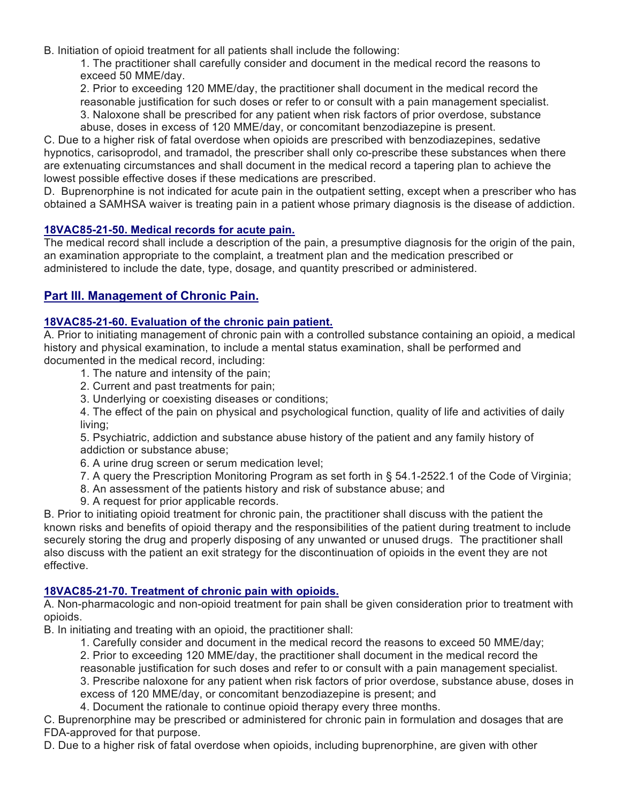B. Initiation of opioid treatment for all patients shall include the following:

1. The practitioner shall carefully consider and document in the medical record the reasons to exceed 50 MME/day.

2. Prior to exceeding 120 MME/day, the practitioner shall document in the medical record the reasonable justification for such doses or refer to or consult with a pain management specialist. 3. Naloxone shall be prescribed for any patient when risk factors of prior overdose, substance abuse, doses in excess of 120 MME/day, or concomitant benzodiazepine is present.

C. Due to a higher risk of fatal overdose when opioids are prescribed with benzodiazepines, sedative hypnotics, carisoprodol, and tramadol, the prescriber shall only co-prescribe these substances when there are extenuating circumstances and shall document in the medical record a tapering plan to achieve the lowest possible effective doses if these medications are prescribed.

D. Buprenorphine is not indicated for acute pain in the outpatient setting, except when a prescriber who has obtained a SAMHSA waiver is treating pain in a patient whose primary diagnosis is the disease of addiction.

### **18VAC85-21-50. Medical records for acute pain.**

The medical record shall include a description of the pain, a presumptive diagnosis for the origin of the pain, an examination appropriate to the complaint, a treatment plan and the medication prescribed or administered to include the date, type, dosage, and quantity prescribed or administered.

# **Part III. Management of Chronic Pain.**

### **18VAC85-21-60. Evaluation of the chronic pain patient.**

A. Prior to initiating management of chronic pain with a controlled substance containing an opioid, a medical history and physical examination, to include a mental status examination, shall be performed and documented in the medical record, including:

- 1. The nature and intensity of the pain;
- 2. Current and past treatments for pain;
- 3. Underlying or coexisting diseases or conditions;

4. The effect of the pain on physical and psychological function, quality of life and activities of daily living;

5. Psychiatric, addiction and substance abuse history of the patient and any family history of addiction or substance abuse;

- 6. A urine drug screen or serum medication level;
- 7. A query the Prescription Monitoring Program as set forth in § 54.1-2522.1 of the Code of Virginia;
- 8. An assessment of the patients history and risk of substance abuse; and
- 9. A request for prior applicable records.

B. Prior to initiating opioid treatment for chronic pain, the practitioner shall discuss with the patient the known risks and benefits of opioid therapy and the responsibilities of the patient during treatment to include securely storing the drug and properly disposing of any unwanted or unused drugs. The practitioner shall also discuss with the patient an exit strategy for the discontinuation of opioids in the event they are not effective.

#### **18VAC85-21-70. Treatment of chronic pain with opioids.**

A. Non-pharmacologic and non-opioid treatment for pain shall be given consideration prior to treatment with opioids.

B. In initiating and treating with an opioid, the practitioner shall:

- 1. Carefully consider and document in the medical record the reasons to exceed 50 MME/day;
- 2. Prior to exceeding 120 MME/day, the practitioner shall document in the medical record the

reasonable justification for such doses and refer to or consult with a pain management specialist.

3. Prescribe naloxone for any patient when risk factors of prior overdose, substance abuse, doses in excess of 120 MME/day, or concomitant benzodiazepine is present; and

4. Document the rationale to continue opioid therapy every three months.

C. Buprenorphine may be prescribed or administered for chronic pain in formulation and dosages that are FDA-approved for that purpose.

D. Due to a higher risk of fatal overdose when opioids, including buprenorphine, are given with other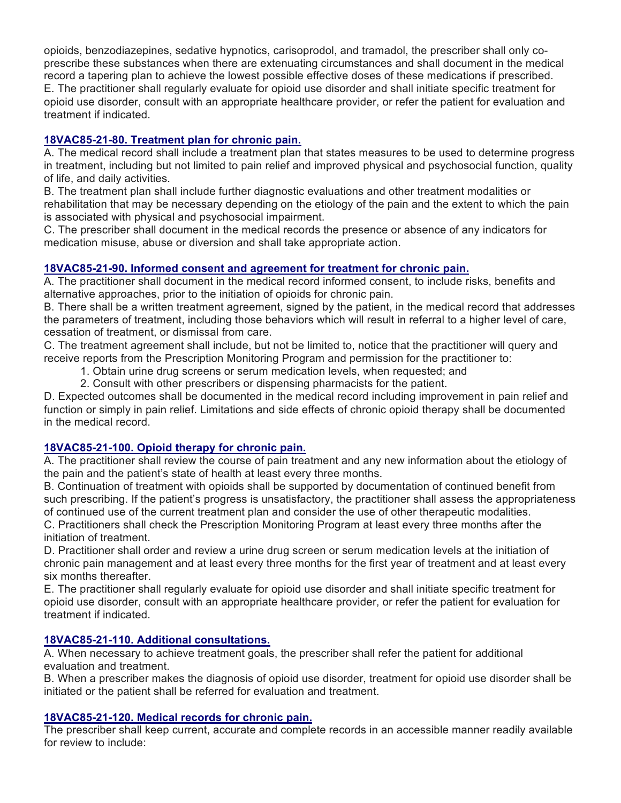opioids, benzodiazepines, sedative hypnotics, carisoprodol, and tramadol, the prescriber shall only coprescribe these substances when there are extenuating circumstances and shall document in the medical record a tapering plan to achieve the lowest possible effective doses of these medications if prescribed. E. The practitioner shall regularly evaluate for opioid use disorder and shall initiate specific treatment for opioid use disorder, consult with an appropriate healthcare provider, or refer the patient for evaluation and treatment if indicated.

# **18VAC85-21-80. Treatment plan for chronic pain.**

A. The medical record shall include a treatment plan that states measures to be used to determine progress in treatment, including but not limited to pain relief and improved physical and psychosocial function, quality of life, and daily activities.

B. The treatment plan shall include further diagnostic evaluations and other treatment modalities or rehabilitation that may be necessary depending on the etiology of the pain and the extent to which the pain is associated with physical and psychosocial impairment.

C. The prescriber shall document in the medical records the presence or absence of any indicators for medication misuse, abuse or diversion and shall take appropriate action.

### **18VAC85-21-90. Informed consent and agreement for treatment for chronic pain.**

A. The practitioner shall document in the medical record informed consent, to include risks, benefits and alternative approaches, prior to the initiation of opioids for chronic pain.

B. There shall be a written treatment agreement, signed by the patient, in the medical record that addresses the parameters of treatment, including those behaviors which will result in referral to a higher level of care, cessation of treatment, or dismissal from care.

C. The treatment agreement shall include, but not be limited to, notice that the practitioner will query and receive reports from the Prescription Monitoring Program and permission for the practitioner to:

- 1. Obtain urine drug screens or serum medication levels, when requested; and
- 2. Consult with other prescribers or dispensing pharmacists for the patient.

D. Expected outcomes shall be documented in the medical record including improvement in pain relief and function or simply in pain relief. Limitations and side effects of chronic opioid therapy shall be documented in the medical record.

#### **18VAC85-21-100. Opioid therapy for chronic pain.**

A. The practitioner shall review the course of pain treatment and any new information about the etiology of the pain and the patient's state of health at least every three months.

B. Continuation of treatment with opioids shall be supported by documentation of continued benefit from such prescribing. If the patient's progress is unsatisfactory, the practitioner shall assess the appropriateness of continued use of the current treatment plan and consider the use of other therapeutic modalities.

C. Practitioners shall check the Prescription Monitoring Program at least every three months after the initiation of treatment.

D. Practitioner shall order and review a urine drug screen or serum medication levels at the initiation of chronic pain management and at least every three months for the first year of treatment and at least every six months thereafter.

E. The practitioner shall regularly evaluate for opioid use disorder and shall initiate specific treatment for opioid use disorder, consult with an appropriate healthcare provider, or refer the patient for evaluation for treatment if indicated.

#### **18VAC85-21-110. Additional consultations.**

A. When necessary to achieve treatment goals, the prescriber shall refer the patient for additional evaluation and treatment.

B. When a prescriber makes the diagnosis of opioid use disorder, treatment for opioid use disorder shall be initiated or the patient shall be referred for evaluation and treatment.

#### **18VAC85-21-120. Medical records for chronic pain.**

The prescriber shall keep current, accurate and complete records in an accessible manner readily available for review to include: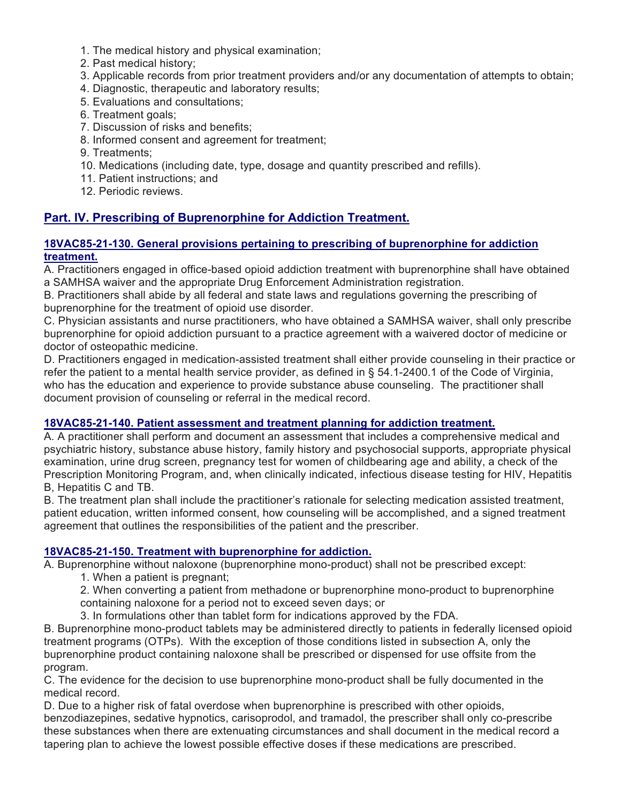- 1. The medical history and physical examination;
- 2. Past medical history;
- 3. Applicable records from prior treatment providers and/or any documentation of attempts to obtain;
- 4. Diagnostic, therapeutic and laboratory results;
- 5. Evaluations and consultations;
- 6. Treatment goals;
- 7. Discussion of risks and benefits;
- 8. Informed consent and agreement for treatment;
- 9. Treatments;
- 10. Medications (including date, type, dosage and quantity prescribed and refills).
- 11. Patient instructions; and
- 12. Periodic reviews.

# **Part. IV. Prescribing of Buprenorphine for Addiction Treatment.**

#### **18VAC85-21-130. General provisions pertaining to prescribing of buprenorphine for addiction treatment.**

A. Practitioners engaged in office-based opioid addiction treatment with buprenorphine shall have obtained a SAMHSA waiver and the appropriate Drug Enforcement Administration registration.

B. Practitioners shall abide by all federal and state laws and regulations governing the prescribing of buprenorphine for the treatment of opioid use disorder.

C. Physician assistants and nurse practitioners, who have obtained a SAMHSA waiver, shall only prescribe buprenorphine for opioid addiction pursuant to a practice agreement with a waivered doctor of medicine or doctor of osteopathic medicine.

D. Practitioners engaged in medication-assisted treatment shall either provide counseling in their practice or refer the patient to a mental health service provider, as defined in § 54.1-2400.1 of the Code of Virginia, who has the education and experience to provide substance abuse counseling. The practitioner shall document provision of counseling or referral in the medical record.

# **18VAC85-21-140. Patient assessment and treatment planning for addiction treatment.**

A. A practitioner shall perform and document an assessment that includes a comprehensive medical and psychiatric history, substance abuse history, family history and psychosocial supports, appropriate physical examination, urine drug screen, pregnancy test for women of childbearing age and ability, a check of the Prescription Monitoring Program, and, when clinically indicated, infectious disease testing for HIV, Hepatitis B, Hepatitis C and TB.

B. The treatment plan shall include the practitioner's rationale for selecting medication assisted treatment, patient education, written informed consent, how counseling will be accomplished, and a signed treatment agreement that outlines the responsibilities of the patient and the prescriber.

# **18VAC85-21-150. Treatment with buprenorphine for addiction.**

A. Buprenorphine without naloxone (buprenorphine mono-product) shall not be prescribed except:

1. When a patient is pregnant;

2. When converting a patient from methadone or buprenorphine mono-product to buprenorphine containing naloxone for a period not to exceed seven days; or

3. In formulations other than tablet form for indications approved by the FDA.

B. Buprenorphine mono-product tablets may be administered directly to patients in federally licensed opioid treatment programs (OTPs). With the exception of those conditions listed in subsection A, only the buprenorphine product containing naloxone shall be prescribed or dispensed for use offsite from the program.

C. The evidence for the decision to use buprenorphine mono-product shall be fully documented in the medical record.

D. Due to a higher risk of fatal overdose when buprenorphine is prescribed with other opioids, benzodiazepines, sedative hypnotics, carisoprodol, and tramadol, the prescriber shall only co-prescribe these substances when there are extenuating circumstances and shall document in the medical record a tapering plan to achieve the lowest possible effective doses if these medications are prescribed.